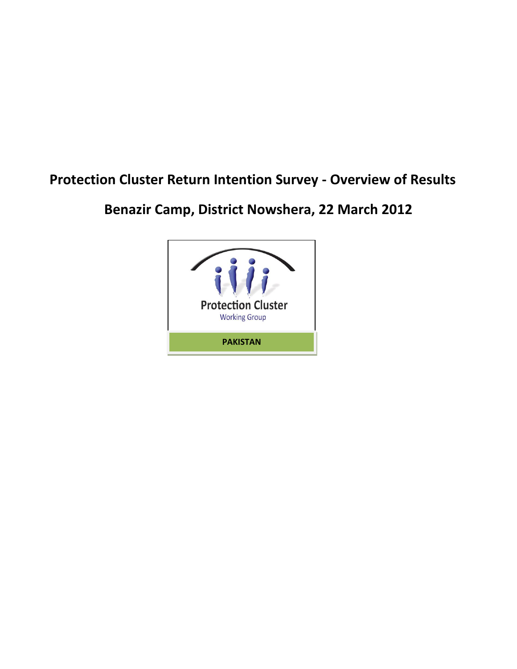# **Protection Cluster Return Intention Survey - Overview of Results**

**Benazir Camp, District Nowshera, 22 March 2012**

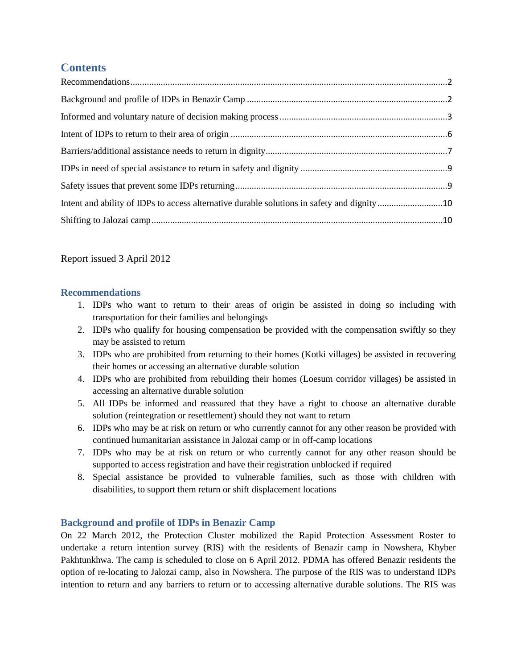# **Contents**

Report issued 3 April 2012

## <span id="page-1-0"></span>**Recommendations**

- 1. IDPs who want to return to their areas of origin be assisted in doing so including with transportation for their families and belongings
- 2. IDPs who qualify for housing compensation be provided with the compensation swiftly so they may be assisted to return
- 3. IDPs who are prohibited from returning to their homes (Kotki villages) be assisted in recovering their homes or accessing an alternative durable solution
- 4. IDPs who are prohibited from rebuilding their homes (Loesum corridor villages) be assisted in accessing an alternative durable solution
- 5. All IDPs be informed and reassured that they have a right to choose an alternative durable solution (reintegration or resettlement) should they not want to return
- 6. IDPs who may be at risk on return or who currently cannot for any other reason be provided with continued humanitarian assistance in Jalozai camp or in off-camp locations
- 7. IDPs who may be at risk on return or who currently cannot for any other reason should be supported to access registration and have their registration unblocked if required
- 8. Special assistance be provided to vulnerable families, such as those with children with disabilities, to support them return or shift displacement locations

## <span id="page-1-1"></span>**Background and profile of IDPs in Benazir Camp**

On 22 March 2012, the Protection Cluster mobilized the Rapid Protection Assessment Roster to undertake a return intention survey (RIS) with the residents of Benazir camp in Nowshera, Khyber Pakhtunkhwa. The camp is scheduled to close on 6 April 2012. PDMA has offered Benazir residents the option of re-locating to Jalozai camp, also in Nowshera. The purpose of the RIS was to understand IDPs intention to return and any barriers to return or to accessing alternative durable solutions. The RIS was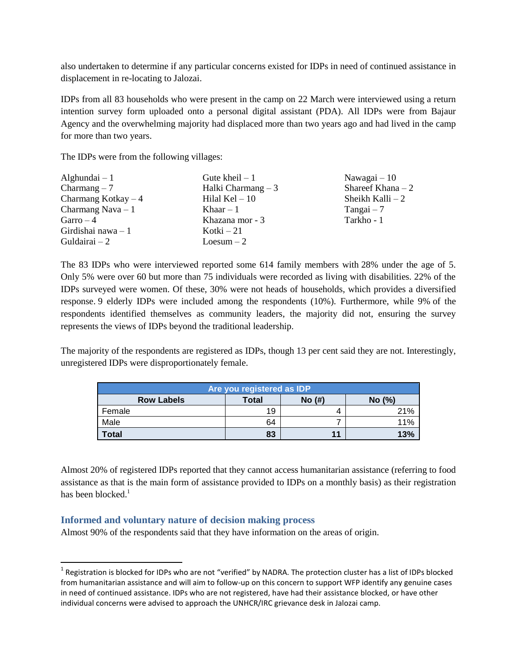also undertaken to determine if any particular concerns existed for IDPs in need of continued assistance in displacement in re-locating to Jalozai.

IDPs from all 83 households who were present in the camp on 22 March were interviewed using a return intention survey form uploaded onto a personal digital assistant (PDA). All IDPs were from Bajaur Agency and the overwhelming majority had displaced more than two years ago and had lived in the camp for more than two years.

The IDPs were from the following villages:

| Alghundai $-1$       | Gute kheil $-1$     | Nawagai $-10$      |
|----------------------|---------------------|--------------------|
| $Charmang-7$         | Halki Charmang $-3$ | Shareef Khana $-2$ |
| Charmang Kotkay $-4$ | Hilal Kel $-10$     | Sheikh Kalli $-2$  |
| Charmang Nava $-1$   | Khaar $-1$          | $Tangai-7$         |
| $Garro - 4$          | Khazana mor - 3     | Tarkho - 1         |
| Girdishai nawa $-1$  | Kotki $-21$         |                    |
| Guldairai $-2$       | $Logum - 2$         |                    |

The 83 IDPs who were interviewed reported some 614 family members with 28% under the age of 5. Only 5% were over 60 but more than 75 individuals were recorded as living with disabilities. 22% of the IDPs surveyed were women. Of these, 30% were not heads of households, which provides a diversified response. 9 elderly IDPs were included among the respondents (10%). Furthermore, while 9% of the respondents identified themselves as community leaders, the majority did not, ensuring the survey represents the views of IDPs beyond the traditional leadership.

The majority of the respondents are registered as IDPs, though 13 per cent said they are not. Interestingly, unregistered IDPs were disproportionately female.

| Are you registered as IDP |              |            |        |  |
|---------------------------|--------------|------------|--------|--|
| <b>Row Labels</b>         | <b>Total</b> | $No$ $(H)$ | No (%) |  |
| Female                    | 19           | 4          | 21%    |  |
| Male                      | 64           |            | 11%    |  |
| <b>Total</b>              | 83           | 11         | 13%    |  |

Almost 20% of registered IDPs reported that they cannot access humanitarian assistance (referring to food assistance as that is the main form of assistance provided to IDPs on a monthly basis) as their registration has been blocked.<sup>1</sup>

#### <span id="page-2-0"></span>**Informed and voluntary nature of decision making process**

 $\overline{a}$ 

Almost 90% of the respondents said that they have information on the areas of origin.

<sup>&</sup>lt;sup>1</sup> Registration is blocked for IDPs who are not "verified" by NADRA. The protection cluster has a list of IDPs blocked from humanitarian assistance and will aim to follow-up on this concern to support WFP identify any genuine cases in need of continued assistance. IDPs who are not registered, have had their assistance blocked, or have other individual concerns were advised to approach the UNHCR/IRC grievance desk in Jalozai camp.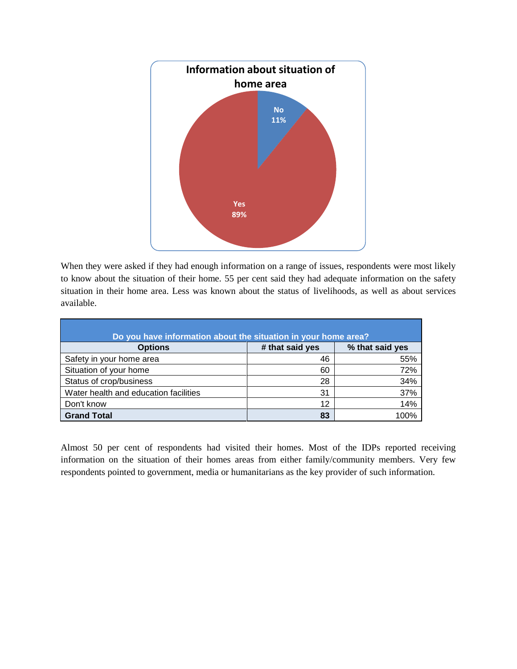

When they were asked if they had enough information on a range of issues, respondents were most likely to know about the situation of their home. 55 per cent said they had adequate information on the safety situation in their home area. Less was known about the status of livelihoods, as well as about services available.

| Do you have information about the situation in your home area? |                 |                 |
|----------------------------------------------------------------|-----------------|-----------------|
| <b>Options</b>                                                 | # that said yes | % that said yes |
| Safety in your home area                                       | 46              | 55%             |
| Situation of your home                                         | 60              | 72%             |
| Status of crop/business                                        | 28              | 34%             |
| Water health and education facilities                          | 31              | 37%             |
| Don't know                                                     | 12              | 14%             |
| <b>Grand Total</b>                                             | 83              | 100%            |

Almost 50 per cent of respondents had visited their homes. Most of the IDPs reported receiving information on the situation of their homes areas from either family/community members. Very few respondents pointed to government, media or humanitarians as the key provider of such information.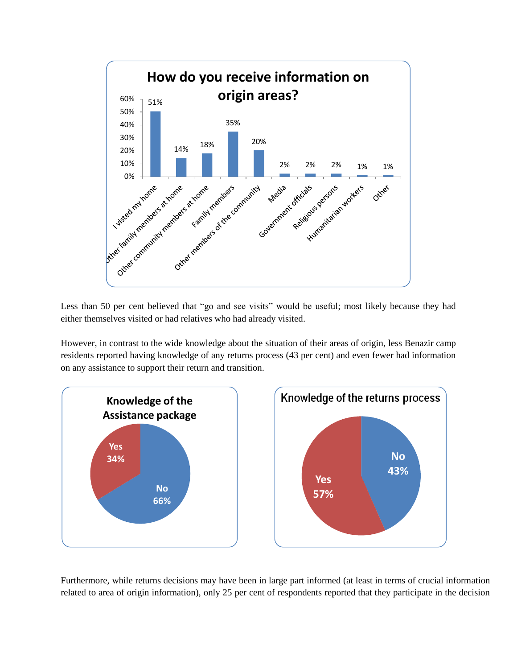

Less than 50 per cent believed that "go and see visits" would be useful; most likely because they had either themselves visited or had relatives who had already visited.

However, in contrast to the wide knowledge about the situation of their areas of origin, less Benazir camp residents reported having knowledge of any returns process (43 per cent) and even fewer had information on any assistance to support their return and transition.



Furthermore, while returns decisions may have been in large part informed (at least in terms of crucial information related to area of origin information), only 25 per cent of respondents reported that they participate in the decision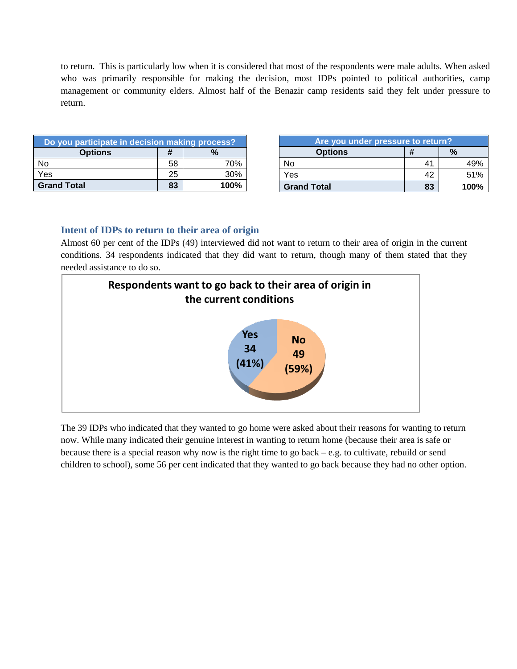to return. This is particularly low when it is considered that most of the respondents were male adults. When asked who was primarily responsible for making the decision, most IDPs pointed to political authorities, camp management or community elders. Almost half of the Benazir camp residents said they felt under pressure to return.

| Do you participate in decision making process? |    |         |
|------------------------------------------------|----|---------|
| <b>Options</b>                                 | #  | $\%$    |
| No                                             | 58 | 70%     |
| Yes                                            | 25 | 30%     |
| <b>Grand Total</b>                             | 83 | $100\%$ |

| Are you under pressure to return? |    |               |  |
|-----------------------------------|----|---------------|--|
| <b>Options</b>                    | #  | $\frac{1}{2}$ |  |
| No                                | 41 | 49%           |  |
| Yes                               |    | 51%           |  |
| <b>Grand Total</b>                | 83 | 100%          |  |

#### <span id="page-5-0"></span>**Intent of IDPs to return to their area of origin**

Almost 60 per cent of the IDPs (49) interviewed did not want to return to their area of origin in the current conditions. 34 respondents indicated that they did want to return, though many of them stated that they needed assistance to do so.



The 39 IDPs who indicated that they wanted to go home were asked about their reasons for wanting to return now. While many indicated their genuine interest in wanting to return home (because their area is safe or because there is a special reason why now is the right time to go back – e.g. to cultivate, rebuild or send children to school), some 56 per cent indicated that they wanted to go back because they had no other option.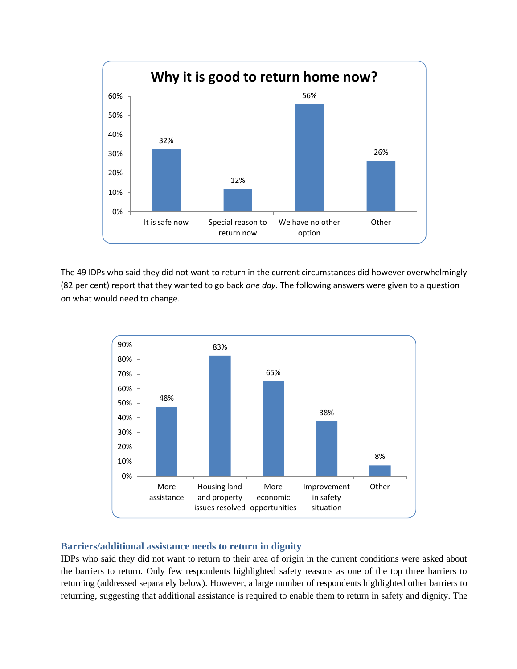

The 49 IDPs who said they did not want to return in the current circumstances did however overwhelmingly (82 per cent) report that they wanted to go back *one day*. The following answers were given to a question on what would need to change.



#### <span id="page-6-0"></span>**Barriers/additional assistance needs to return in dignity**

IDPs who said they did not want to return to their area of origin in the current conditions were asked about the barriers to return. Only few respondents highlighted safety reasons as one of the top three barriers to returning (addressed separately below). However, a large number of respondents highlighted other barriers to returning, suggesting that additional assistance is required to enable them to return in safety and dignity. The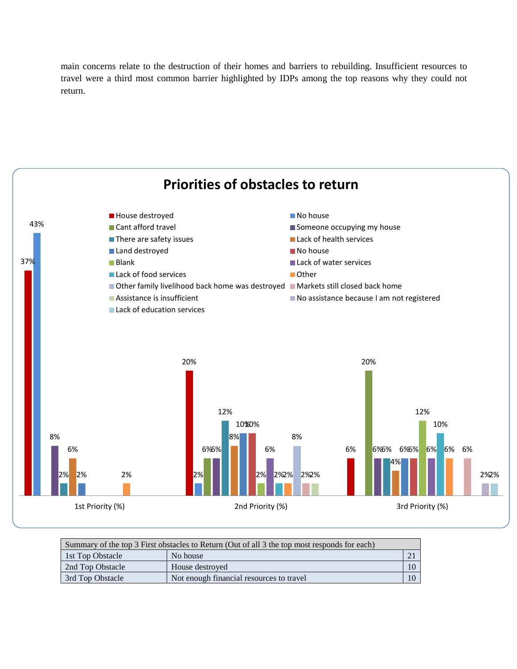main concerns relate to the destruction of their homes and barriers to rebuilding. Insufficient resources to travel were a third most common barrier highlighted by IDPs among the top reasons why they could not return.



| Summary of the top 3 First obstacles to Return (Out of all 3 the top most responds for each) |                                          |  |  |
|----------------------------------------------------------------------------------------------|------------------------------------------|--|--|
| 1st Top Obstacle                                                                             | No house                                 |  |  |
| 2nd Top Obstacle                                                                             | House destroyed                          |  |  |
| 3rd Top Obstacle                                                                             | Not enough financial resources to travel |  |  |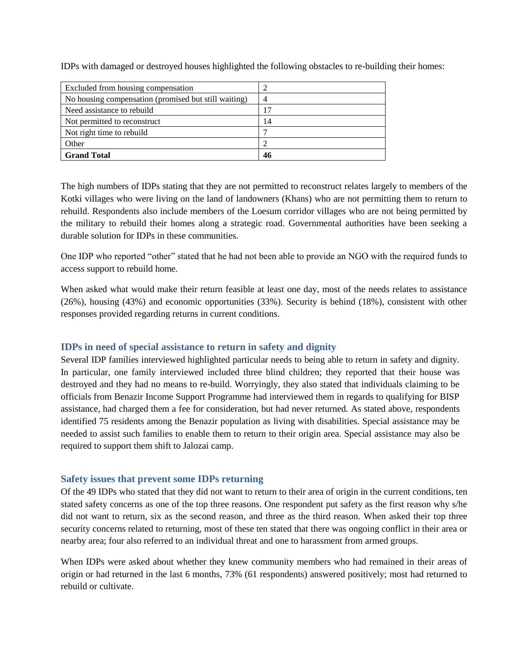| Excluded from housing compensation                   |    |
|------------------------------------------------------|----|
| No housing compensation (promised but still waiting) |    |
| Need assistance to rebuild                           |    |
| Not permitted to reconstruct                         | 14 |
| Not right time to rebuild                            |    |
| Other                                                |    |
| <b>Grand Total</b>                                   | 46 |

IDPs with damaged or destroyed houses highlighted the following obstacles to re-building their homes:

The high numbers of IDPs stating that they are not permitted to reconstruct relates largely to members of the Kotki villages who were living on the land of landowners (Khans) who are not permitting them to return to rebuild. Respondents also include members of the Loesum corridor villages who are not being permitted by the military to rebuild their homes along a strategic road. Governmental authorities have been seeking a durable solution for IDPs in these communities.

One IDP who reported "other" stated that he had not been able to provide an NGO with the required funds to access support to rebuild home.

When asked what would make their return feasible at least one day, most of the needs relates to assistance (26%), housing (43%) and economic opportunities (33%). Security is behind (18%), consistent with other responses provided regarding returns in current conditions.

#### <span id="page-8-0"></span>**IDPs in need of special assistance to return in safety and dignity**

Several IDP families interviewed highlighted particular needs to being able to return in safety and dignity. In particular, one family interviewed included three blind children; they reported that their house was destroyed and they had no means to re-build. Worryingly, they also stated that individuals claiming to be officials from Benazir Income Support Programme had interviewed them in regards to qualifying for BISP assistance, had charged them a fee for consideration, but had never returned. As stated above, respondents identified 75 residents among the Benazir population as living with disabilities. Special assistance may be needed to assist such families to enable them to return to their origin area. Special assistance may also be required to support them shift to Jalozai camp.

#### <span id="page-8-1"></span>**Safety issues that prevent some IDPs returning**

Of the 49 IDPs who stated that they did not want to return to their area of origin in the current conditions, ten stated safety concerns as one of the top three reasons. One respondent put safety as the first reason why s/he did not want to return, six as the second reason, and three as the third reason. When asked their top three security concerns related to returning, most of these ten stated that there was ongoing conflict in their area or nearby area; four also referred to an individual threat and one to harassment from armed groups.

When IDPs were asked about whether they knew community members who had remained in their areas of origin or had returned in the last 6 months, 73% (61 respondents) answered positively; most had returned to rebuild or cultivate.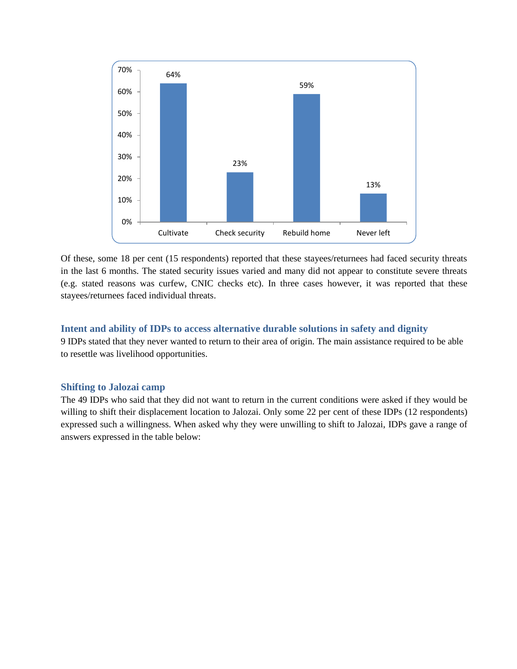

Of these, some 18 per cent (15 respondents) reported that these stayees/returnees had faced security threats in the last 6 months. The stated security issues varied and many did not appear to constitute severe threats (e.g. stated reasons was curfew, CNIC checks etc). In three cases however, it was reported that these stayees/returnees faced individual threats.

#### <span id="page-9-0"></span>**Intent and ability of IDPs to access alternative durable solutions in safety and dignity**

9 IDPs stated that they never wanted to return to their area of origin. The main assistance required to be able to resettle was livelihood opportunities.

#### <span id="page-9-1"></span>**Shifting to Jalozai camp**

The 49 IDPs who said that they did not want to return in the current conditions were asked if they would be willing to shift their displacement location to Jalozai. Only some 22 per cent of these IDPs (12 respondents) expressed such a willingness. When asked why they were unwilling to shift to Jalozai, IDPs gave a range of answers expressed in the table below: